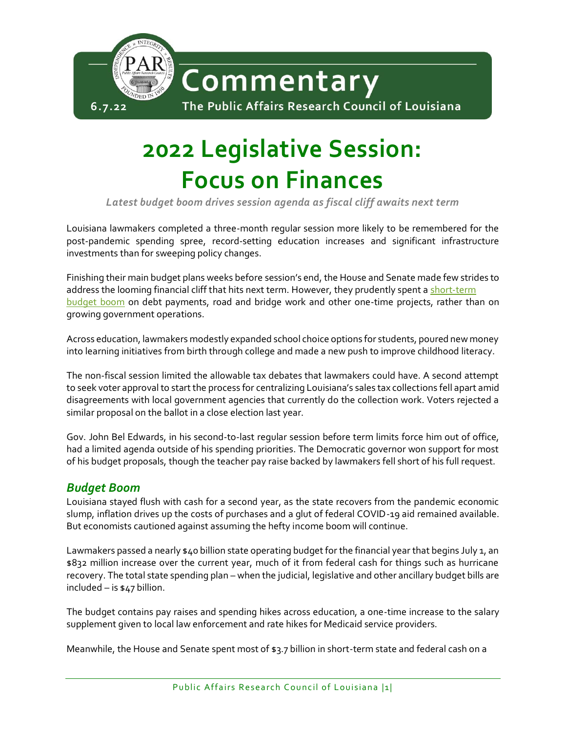

# **2022 Legislative Session: Focus on Finances**

*Latest budget boom drives session agenda as fiscal cliff awaits next term*

Louisiana lawmakers completed a three-month regular session more likely to be remembered for the post-pandemic spending spree, record-setting education increases and significant infrastructure investments than for sweeping policy changes.

Finishing their main budget plans weeks before session's end, the House and Senate made few strides to address the looming financial cliff that hits next term. However, they prudently spent a short-term [budget boom](http://parlouisiana.org/wp-content/uploads/2022/05/PAR-Commentary-Budget-Bonanza-Grows.pdf) on debt payments, road and bridge work and other one-time projects, rather than on growing government operations.

Across education, lawmakers modestly expanded school choice options for students, poured new money into learning initiatives from birth through college and made a new push to improve childhood literacy.

The non-fiscal session limited the allowable tax debates that lawmakers could have. A second attempt to seek voter approval to start the process for centralizing Louisiana's sales tax collections fell apart amid disagreements with local government agencies that currently do the collection work. Voters rejected a similar proposal on the ballot in a close election last year.

Gov. John Bel Edwards, in his second-to-last regular session before term limits force him out of office, had a limited agenda outside of his spending priorities. The Democratic governor won support for most of his budget proposals, though the teacher pay raise backed by lawmakers fell short of his full request.

## *Budget Boom*

Louisiana stayed flush with cash for a second year, as the state recovers from the pandemic economic slump, inflation drives up the costs of purchases and a glut of federal COVID-19 aid remained available. But economists cautioned against assuming the hefty income boom will continue.

Lawmakers passed a nearly \$40 billion state operating budget for the financial year that begins July 1, an \$832 million increase over the current year, much of it from federal cash for things such as hurricane recovery. The total state spending plan – when the judicial, legislative and other ancillary budget bills are included – is \$47 billion.

The budget contains pay raises and spending hikes across education, a one-time increase to the salary supplement given to local law enforcement and rate hikes for Medicaid service providers.

Meanwhile, the House and Senate spent most of \$3.7 billion in short-term state and federal cash on a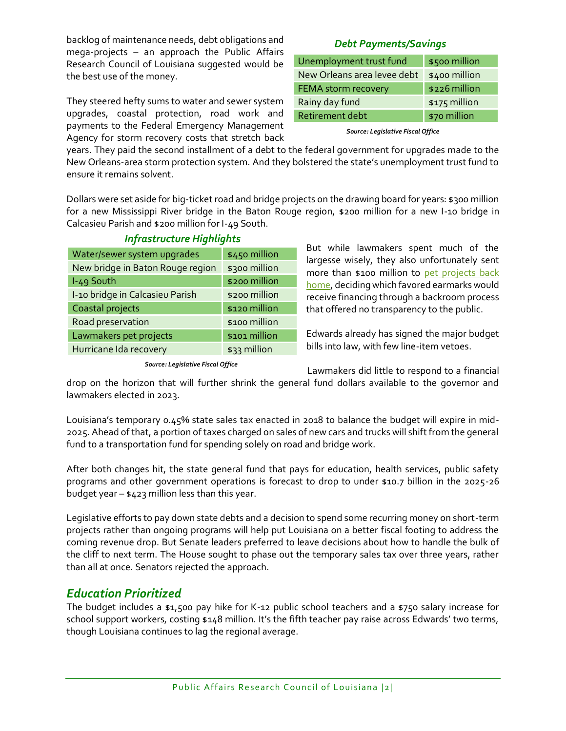backlog of maintenance needs, debt obligations and mega-projects – an approach the Public Affairs Research Council of Louisiana suggested would be the best use of the money.

They steered hefty sums to water and sewer system upgrades, coastal protection, road work and payments to the Federal Emergency Management Agency for storm recovery costs that stretch back

## *Debt Payments/Savings*

| Unemployment trust fund     | \$500 million |
|-----------------------------|---------------|
| New Orleans area levee debt | \$400 million |
| <b>FEMA storm recovery</b>  | \$226 million |
| Rainy day fund              | \$175 million |
| Retirement debt             | \$70 million  |
|                             |               |

*Source: Legislative Fiscal Office*

years. They paid the second installment of a debt to the federal government for upgrades made to the New Orleans-area storm protection system. And they bolstered the state's unemployment trust fund to ensure it remains solvent.

Dollars were set aside for big-ticket road and bridge projects on the drawing board for years: \$300 million for a new Mississippi River bridge in the Baton Rouge region, \$200 million for a new I-10 bridge in Calcasieu Parish and \$200 million for I-49 South.

| Water/sewer system upgrades      | \$450 million |
|----------------------------------|---------------|
| New bridge in Baton Rouge region | \$300 million |
| I-49 South                       | \$200 million |
| I-10 bridge in Calcasieu Parish  | \$200 million |
| Coastal projects                 | \$120 million |
| Road preservation                | \$100 million |
| Lawmakers pet projects           | \$101 million |
| Hurricane Ida recovery           | \$33 million  |
|                                  |               |

## *Infrastructure Highlights*

But while lawmakers spent much of the largesse wisely, they also unfortunately sent more than \$100 million to [pet projects back](https://www.theadvocate.com/baton_rouge/opinion/article_abc9e10a-d6e8-11ec-bddb-13506dbf7011.html)  [home,](https://www.theadvocate.com/baton_rouge/opinion/article_abc9e10a-d6e8-11ec-bddb-13506dbf7011.html) deciding which favored earmarks would receive financing through a backroom process that offered no transparency to the public.

Edwards already has signed the major budget bills into law, with few line-item vetoes.

*Source: Legislative Fiscal Office*

Lawmakers did little to respond to a financial

drop on the horizon that will further shrink the general fund dollars available to the governor and lawmakers elected in 2023.

Louisiana's temporary 0.45% state sales tax enacted in 2018 to balance the budget will expire in mid-2025. Ahead of that, a portion of taxes charged on sales of new cars and trucks will shift from the general fund to a transportation fund for spending solely on road and bridge work.

After both changes hit, the state general fund that pays for education, health services, public safety programs and other government operations is forecast to drop to under \$10.7 billion in the 2025-26 budget year – \$423 million less than this year.

Legislative efforts to pay down state debts and a decision to spend some recurring money on short-term projects rather than ongoing programs will help put Louisiana on a better fiscal footing to address the coming revenue drop. But Senate leaders preferred to leave decisions about how to handle the bulk of the cliff to next term. The House sought to phase out the temporary sales tax over three years, rather than all at once. Senators rejected the approach.

## *Education Prioritized*

The budget includes a \$1,500 pay hike for K-12 public school teachers and a \$750 salary increase for school support workers, costing \$148 million. It's the fifth teacher pay raise across Edwards' two terms, though Louisiana continues to lag the regional average.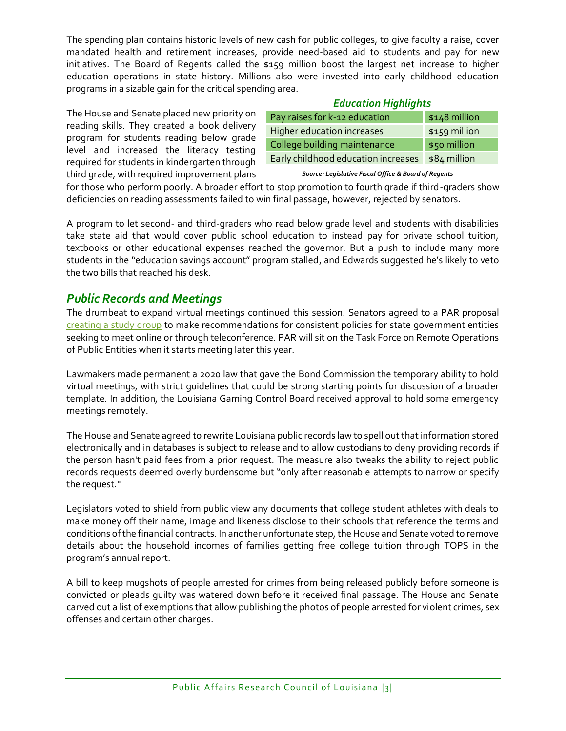The spending plan contains historic levels of new cash for public colleges, to give faculty a raise, cover mandated health and retirement increases, provide need-based aid to students and pay for new initiatives. The Board of Regents called the \$159 million boost the largest net increase to higher education operations in state history. Millions also were invested into early childhood education programs in a sizable gain for the critical spending area.

The House and Senate placed new priority on reading skills. They created a book delivery program for students reading below grade level and increased the literacy testing required for students in kindergarten through third grade, with required improvement plans

| <b>Education Highlights</b> |
|-----------------------------|
|                             |

| Pay raises for k-12 education       | $$148$ million |
|-------------------------------------|----------------|
| Higher education increases          | \$159 million  |
| College building maintenance        | \$50 million   |
| Early childhood education increases | \$84 million   |
|                                     |                |

*Source: Legislative Fiscal Office & Board of Regents*

for those who perform poorly. A broader effort to stop promotion to fourth grade if third-graders show deficiencies on reading assessments failed to win final passage, however, rejected by senators.

A program to let second- and third-graders who read below grade level and students with disabilities take state aid that would cover public school education to instead pay for private school tuition, textbooks or other educational expenses reached the governor. But a push to include many more students in the "education savings account" program stalled, and Edwards suggested he's likely to veto the two bills that reached his desk.

## *Public Records and Meetings*

The drumbeat to expand virtual meetings continued this session. Senators agreed to a PAR proposal [creating a study group](http://parlouisiana.org/wp-content/uploads/2022/03/PAR-Commentary-Going-Virtual.pdf) to make recommendations for consistent policies for state government entities seeking to meet online or through teleconference. PAR will sit on the Task Force on Remote Operations of Public Entities when it starts meeting later this year.

Lawmakers made permanent a 2020 law that gave the Bond Commission the temporary ability to hold virtual meetings, with strict guidelines that could be strong starting points for discussion of a broader template. In addition, the Louisiana Gaming Control Board received approval to hold some emergency meetings remotely.

The House and Senate agreed to rewrite Louisiana public records law to spell out that information stored electronically and in databases is subject to release and to allow custodians to deny providing records if the person hasn't paid fees from a prior request. The measure also tweaks the ability to reject public records requests deemed overly burdensome but "only after reasonable attempts to narrow or specify the request."

Legislators voted to shield from public view any documents that college student athletes with deals to make money off their name, image and likeness disclose to their schools that reference the terms and conditions of the financial contracts. In another unfortunate step, the House and Senate voted to remove details about the household incomes of families getting free college tuition through TOPS in the program's annual report.

A bill to keep mugshots of people arrested for crimes from being released publicly before someone is convicted or pleads guilty was watered down before it received final passage. The House and Senate carved out a list of exemptions that allow publishing the photos of people arrested for violent crimes, sex offenses and certain other charges.